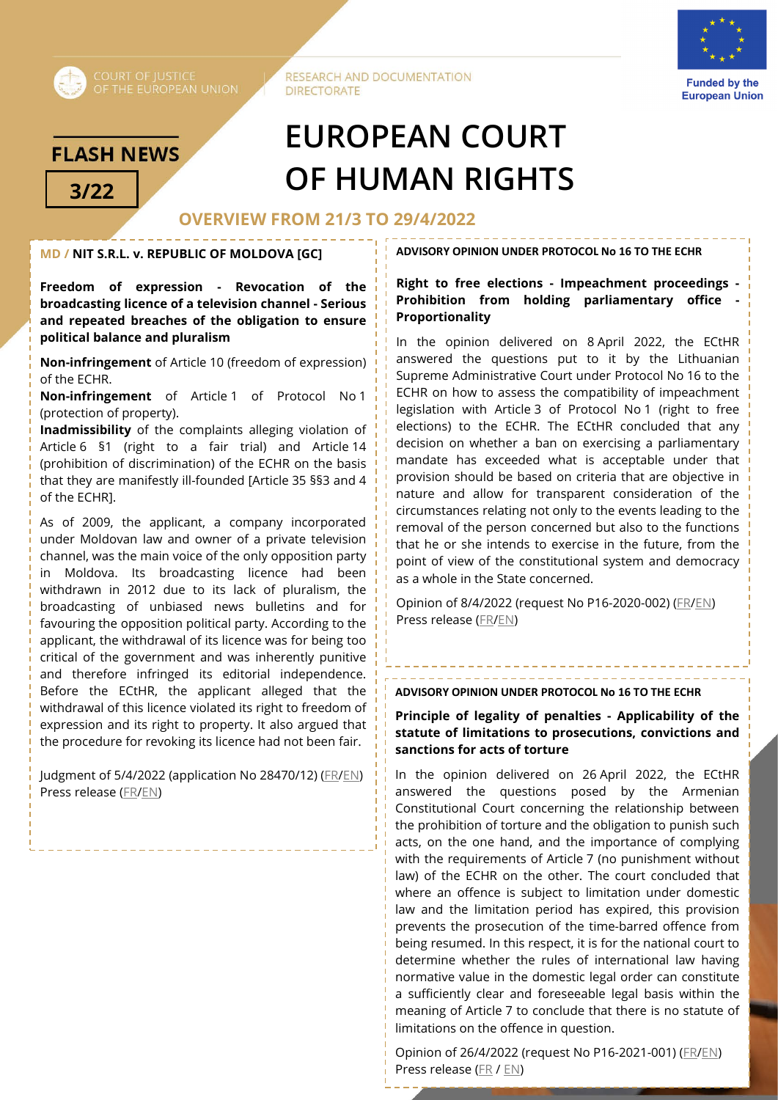

**RESEARCH AND DOCUMENTATION DIRECTORATE** 



**Funded by the European Union** 

# **FLASH NEWS**

# **EUROPEAN COURT 3/22 OF HUMAN RIGHTS**

# **OVERVIEW FROM 21/3 TO 29/4/2022**

## **MD / NIT S.R.L. v. REPUBLIC OF MOLDOVA [GC]**

**Freedom of expression - Revocation of the broadcasting licence of a television channel - Serious and repeated breaches of the obligation to ensure political balance and pluralism**

**Non-infringement** of Article 10 (freedom of expression) of the ECHR.

**Non-infringement** of Article 1 of Protocol No 1 (protection of property).

**Inadmissibility** of the complaints alleging violation of Article 6 §1 (right to a fair trial) and Article 14 (prohibition of discrimination) of the ECHR on the basis that they are manifestly ill-founded [Article 35 §§3 and 4 of the ECHR].

As of 2009, the applicant, a company incorporated under Moldovan law and owner of a private television channel, was the main voice of the only opposition party in Moldova. Its broadcasting licence had been withdrawn in 2012 due to its lack of pluralism, the broadcasting of unbiased news bulletins and for favouring the opposition political party. According to the applicant, the withdrawal of its licence was for being too critical of the government and was inherently punitive and therefore infringed its editorial independence. Before the ECtHR, the applicant alleged that the withdrawal of this licence violated its right to freedom of expression and its right to property. It also argued that the procedure for revoking its licence had not been fair.

Judgment of 5/4/2022 (application No 28470/12) (FR/EN) Press release (FR/EN)

#### **ADVISORY OPINION UNDER PROTOCOL No 16 TO THE ECHR**

**Right to free elections - Impeachment proceedings - Prohibition from holding parliamentary office - Proportionality**

In the opinion delivered on 8 April 2022, the ECtHR answered the questions put to it by the Lithuanian Supreme Administrative Court under Protocol No 16 to the ECHR on how to assess the compatibility of impeachment legislation with Article 3 of Protocol No 1 (right to free elections) to the ECHR. The ECtHR concluded that any decision on whether a ban on exercising a parliamentary mandate has exceeded what is acceptable under that provision should be based on criteria that are objective in nature and allow for transparent consideration of the circumstances relating not only to the events leading to the removal of the person concerned but also to the functions that he or she intends to exercise in the future, from the point of view of the constitutional system and democracy as a whole in the State concerned.

Opinion of 8/4/2022 (request No P16-2020-002) (FR/EN) Press release (FR/EN)

#### **ADVISORY OPINION UNDER PROTOCOL No 16 TO THE ECHR**

#### **Principle of legality of penalties - Applicability of the statute of limitations to prosecutions, convictions and sanctions for acts of torture**

In the opinion delivered on 26 April 2022, the ECtHR answered the questions posed by the Armenian Constitutional Court concerning the relationship between the prohibition of torture and the obligation to punish such acts, on the one hand, and the importance of complying with the requirements of Article 7 (no punishment without law) of the ECHR on the other. The court concluded that where an offence is subject to limitation under domestic law and the limitation period has expired, this provision prevents the prosecution of the time-barred offence from being resumed. In this respect, it is for the national court to determine whether the rules of international law having normative value in the domestic legal order can constitute a sufficiently clear and foreseeable legal basis within the meaning of Article 7 to conclude that there is no statute of limitations on the offence in question.

Opinion of 26/4/2022 (request No P16-2021-001) (FR/EN) Press release (FR / EN)